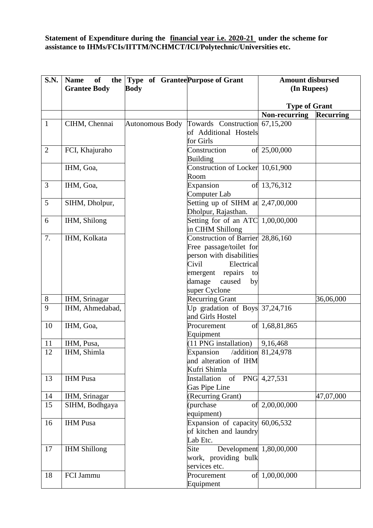## **Statement of Expenditure during the financial year i.e. 2020-21 under the scheme for assistance to IHMs/FCIs/IITTM/NCHMCT/ICI/Polytechnic/Universities etc.**

| S.N.           | of<br>the  <br><b>Name</b><br><b>Grantee Body</b> | Type of Grantee Purpose of Grant<br><b>Body</b> |                                                            | <b>Amount disbursed</b><br>(In Rupees) |                  |
|----------------|---------------------------------------------------|-------------------------------------------------|------------------------------------------------------------|----------------------------------------|------------------|
|                |                                                   |                                                 |                                                            | <b>Type of Grant</b>                   |                  |
|                |                                                   |                                                 |                                                            | Non-recurring                          | <b>Recurring</b> |
| $\mathbf{1}$   | CIHM, Chennai                                     | <b>Autonomous Body</b>                          | Towards Construction 67,15,200                             |                                        |                  |
|                |                                                   |                                                 | of Additional Hostels                                      |                                        |                  |
|                |                                                   |                                                 | for Girls                                                  |                                        |                  |
| $\overline{2}$ | FCI, Khajuraho                                    |                                                 | Construction<br><b>Building</b>                            | of 25,00,000                           |                  |
|                | IHM, Goa,                                         |                                                 | Construction of Locker 10,61,900<br>Room                   |                                        |                  |
| 3              | IHM, Goa,                                         |                                                 | Expansion                                                  | of 13,76,312                           |                  |
|                |                                                   |                                                 | Computer Lab                                               |                                        |                  |
| 5              | SIHM, Dholpur,                                    |                                                 | Setting up of SIHM at $2,47,00,000$<br>Dholpur, Rajasthan. |                                        |                  |
| 6              | IHM, Shilong                                      |                                                 | Setting for of an ATC<br>in CIHM Shillong                  | 1,00,00,000                            |                  |
| 7.             | IHM, Kolkata                                      |                                                 | Construction of Barrier 28,86,160                          |                                        |                  |
|                |                                                   |                                                 | Free passage/toilet for                                    |                                        |                  |
|                |                                                   |                                                 | person with disabilities                                   |                                        |                  |
|                |                                                   |                                                 | Civil<br>Electrical                                        |                                        |                  |
|                |                                                   |                                                 | emergent repairs<br>to                                     |                                        |                  |
|                |                                                   |                                                 | damage<br>caused<br>by                                     |                                        |                  |
|                |                                                   |                                                 | super Cyclone                                              |                                        |                  |
| $8\,$          | IHM, Srinagar                                     |                                                 | <b>Recurring Grant</b>                                     |                                        | 36,06,000        |
| 9              | IHM, Ahmedabad,                                   |                                                 | Up gradation of Boys $37,24,716$<br>and Girls Hostel       |                                        |                  |
| 10             | IHM, Goa,                                         |                                                 | Procurement                                                | of 1,68,81,865                         |                  |
|                |                                                   |                                                 | Equipment                                                  |                                        |                  |
| 11             | IHM, Pusa,                                        |                                                 | (11 PNG installation)                                      | 9,16,468                               |                  |
| 12             | IHM, Shimla                                       |                                                 | Expansion                                                  | /addition 81,24,978                    |                  |
|                |                                                   |                                                 | and alteration of IHM                                      |                                        |                  |
|                |                                                   |                                                 | Kufri Shimla                                               |                                        |                  |
| 13             | <b>IHM Pusa</b>                                   |                                                 | Installation of PNG $4,27,531$                             |                                        |                  |
|                |                                                   |                                                 | Gas Pipe Line                                              |                                        |                  |
| 14             | IHM, Srinagar                                     |                                                 | (Recurring Grant)                                          |                                        | 47,07,000        |
| 15             | SIHM, Bodhgaya                                    |                                                 | (purchase                                                  | of 2,00,00,000                         |                  |
|                |                                                   |                                                 | equipment)                                                 |                                        |                  |
| 16             | <b>IHM</b> Pusa                                   |                                                 | Expansion of capacity                                      | 60,06,532                              |                  |
|                |                                                   |                                                 | of kitchen and laundry                                     |                                        |                  |
|                |                                                   |                                                 | Lab Etc.                                                   |                                        |                  |
| 17             | <b>IHM Shillong</b>                               |                                                 | Site<br>Development 1,80,00,000                            |                                        |                  |
|                |                                                   |                                                 | work, providing bulk                                       |                                        |                  |
|                |                                                   |                                                 | services etc.                                              |                                        |                  |
| 18             | FCI Jammu                                         |                                                 | Procurement                                                | of 1,00,00,000                         |                  |
|                |                                                   |                                                 | Equipment                                                  |                                        |                  |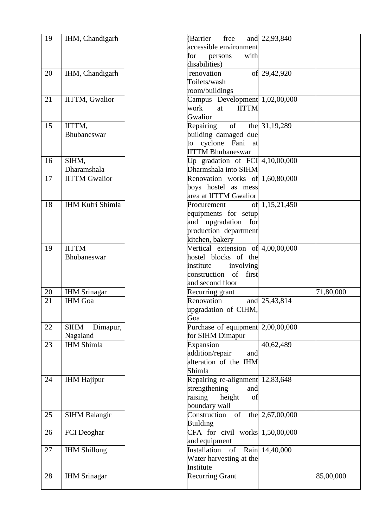| 19 | IHM, Chandigarh         | free<br>(Barrier                    | and 22,93,840   |           |
|----|-------------------------|-------------------------------------|-----------------|-----------|
|    |                         | accessible environment              |                 |           |
|    |                         | with<br>for<br>persons              |                 |           |
|    |                         | disabilities)                       |                 |           |
| 20 | IHM, Chandigarh         | renovation                          | of 29,42,920    |           |
|    |                         | Toilets/wash                        |                 |           |
|    |                         | room/buildings                      |                 |           |
| 21 | <b>IITTM, Gwalior</b>   | Campus Development 1,02,00,000      |                 |           |
|    |                         | <b>IITTM</b><br>work<br>at          |                 |           |
|    |                         | Gwalior                             |                 |           |
| 15 | IITTM,                  | Repairing<br>of                     | the 31,19,289   |           |
|    | Bhubaneswar             | building damaged due                |                 |           |
|    |                         | to cyclone Fani at                  |                 |           |
|    |                         | <b>IITTM Bhubaneswar</b>            |                 |           |
| 16 | SIHM,                   | Up gradation of FCI $4,10,00,000$   |                 |           |
|    | Dharamshala             | Dharmshala into SIHM                |                 |           |
| 17 | <b>IITTM Gwalior</b>    | Renovation works of 1,60,80,000     |                 |           |
|    |                         | boys hostel as mess                 |                 |           |
|    |                         | area at IITTM Gwalior               |                 |           |
| 18 | <b>IHM Kufri Shimla</b> | Procurement                         | of 1,15,21,450  |           |
|    |                         | equipments for setup                |                 |           |
|    |                         | and upgradation for                 |                 |           |
|    |                         | production department               |                 |           |
|    |                         | kitchen, bakery                     |                 |           |
| 19 | <b>IITTM</b>            | Vertical extension of 4,00,00,000   |                 |           |
|    | Bhubaneswar             | hostel blocks of the                |                 |           |
|    |                         | institute<br>involving              |                 |           |
|    |                         | of<br>first<br>construction         |                 |           |
|    |                         | and second floor                    |                 |           |
| 20 | <b>IHM Srinagar</b>     | Recurring grant                     |                 | 71,80,000 |
| 21 | <b>IHM</b> Goa          | Renovation                          | and 25,43,814   |           |
|    |                         | upgradation of CIHM,                |                 |           |
|    |                         | Goa                                 |                 |           |
| 22 | <b>SIHM</b><br>Dimapur, | Purchase of equipment $2,00,00,000$ |                 |           |
|    | Nagaland                | for SIHM Dimapur                    |                 |           |
| 23 | <b>IHM Shimla</b>       | Expansion                           | 40,62,489       |           |
|    |                         | addition/repair<br>and              |                 |           |
|    |                         | alteration of the IHM               |                 |           |
|    |                         | Shimla                              |                 |           |
| 24 | <b>IHM Hajipur</b>      | Repairing re-alignment 12,83,648    |                 |           |
|    |                         | strengthening<br>and                |                 |           |
|    |                         | raising<br>height<br>of             |                 |           |
|    |                         | boundary wall                       |                 |           |
| 25 | <b>SIHM Balangir</b>    | of<br>Construction                  | the 2,67,00,000 |           |
|    |                         | <b>Building</b>                     |                 |           |
| 26 | FCI Deoghar             | CFA for civil works $1,50,00,000$   |                 |           |
|    |                         | and equipment                       |                 |           |
| 27 | <b>IHM Shillong</b>     | Installation of Rain 14,40,000      |                 |           |
|    |                         | Water harvesting at the             |                 |           |
|    |                         | Institute                           |                 |           |
| 28 | <b>IHM Srinagar</b>     | <b>Recurring Grant</b>              |                 | 85,00,000 |
|    |                         |                                     |                 |           |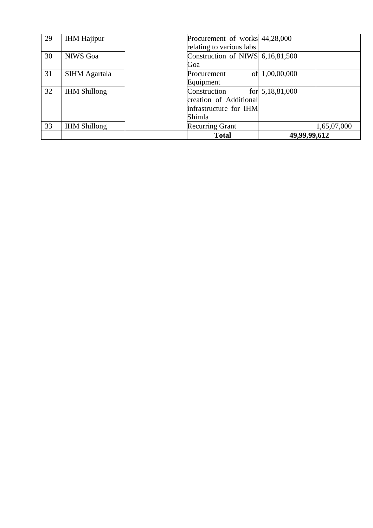| 29 | <b>IHM Hajipur</b>   | Procurement of works 44,28,000   |                 |             |
|----|----------------------|----------------------------------|-----------------|-------------|
|    |                      | relating to various labs         |                 |             |
| 30 | <b>NIWS Goa</b>      | Construction of NIWS 6,16,81,500 |                 |             |
|    |                      | Goa                              |                 |             |
| 31 | <b>SIHM</b> Agartala | Procurement                      | of 1,00,00,000  |             |
|    |                      | Equipment                        |                 |             |
| 32 | <b>IHM Shillong</b>  | Construction                     | for 5,18,81,000 |             |
|    |                      | creation of Additional           |                 |             |
|    |                      | infrastructure for IHM           |                 |             |
|    |                      | Shimla                           |                 |             |
| 33 | <b>IHM Shillong</b>  | <b>Recurring Grant</b>           |                 | 1,65,07,000 |
|    |                      | <b>Total</b>                     | 49,99,99,612    |             |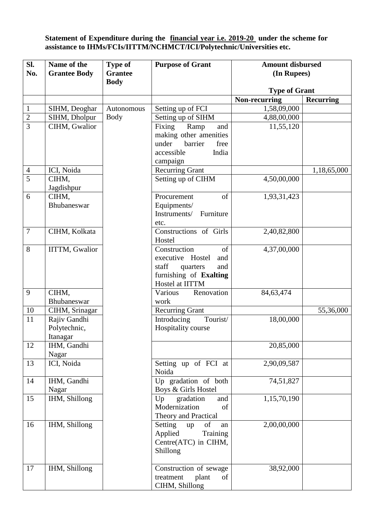## **Statement of Expenditure during the financial year i.e. 2019-20 under the scheme for assistance to IHMs/FCIs/IITTM/NCHMCT/ICI/Polytechnic/Universities etc.**

| SI.<br>No.     | Name of the<br><b>Grantee Body</b> | <b>Type of</b><br><b>Grantee</b><br><b>Body</b> | <b>Purpose of Grant</b>                                              | <b>Amount disbursed</b><br>(In Rupees) |                  |
|----------------|------------------------------------|-------------------------------------------------|----------------------------------------------------------------------|----------------------------------------|------------------|
|                |                                    |                                                 |                                                                      | <b>Type of Grant</b>                   |                  |
|                |                                    |                                                 |                                                                      | Non-recurring                          | <b>Recurring</b> |
| $\mathbf{1}$   | SIHM, Deoghar                      | Autonomous                                      | Setting up of FCI                                                    | 1,58,09,000                            |                  |
| $\overline{2}$ | SIHM, Dholpur                      | <b>Body</b>                                     | Setting up of SIHM                                                   | 4,88,00,000                            |                  |
| $\overline{3}$ | CIHM, Gwalior                      |                                                 | Fixing<br>Ramp<br>and                                                | 11,55,120                              |                  |
|                |                                    |                                                 | making other amenities                                               |                                        |                  |
|                |                                    |                                                 | under<br>barrier<br>free                                             |                                        |                  |
|                |                                    |                                                 | accessible<br>India                                                  |                                        |                  |
| $\overline{4}$ | ICI, Noida                         |                                                 | campaign<br><b>Recurring Grant</b>                                   |                                        | 1,18,65,000      |
| $\overline{5}$ | CIHM,                              |                                                 | Setting up of CIHM                                                   | 4,50,00,000                            |                  |
|                | Jagdishpur                         |                                                 |                                                                      |                                        |                  |
| 6              | CIHM,                              |                                                 | of<br>Procurement                                                    | 1,93,31,423                            |                  |
|                | Bhubaneswar                        |                                                 | Equipments/                                                          |                                        |                  |
|                |                                    |                                                 | Instruments/<br>Furniture                                            |                                        |                  |
|                |                                    |                                                 | etc.                                                                 |                                        |                  |
| $\tau$         | CIHM, Kolkata                      |                                                 | Constructions of Girls                                               | 2,40,82,800                            |                  |
|                |                                    |                                                 | Hostel                                                               |                                        |                  |
| 8              | <b>IITTM, Gwalior</b>              |                                                 | Construction<br>of                                                   | 4,37,00,000                            |                  |
|                |                                    |                                                 | executive Hostel<br>and                                              |                                        |                  |
|                |                                    |                                                 | staff<br>and<br>quarters                                             |                                        |                  |
|                |                                    |                                                 | furnishing of Exalting<br>Hostel at IITTM                            |                                        |                  |
| 9              | CIHM,                              |                                                 | Various<br>Renovation                                                | 84,63,474                              |                  |
|                | Bhubaneswar                        |                                                 | work                                                                 |                                        |                  |
| 10             | CIHM, Srinagar                     |                                                 | <b>Recurring Grant</b>                                               |                                        | 55,36,000        |
| 11             | Rajiv Gandhi                       |                                                 | Introducing<br>Tourist/                                              | 18,00,000                              |                  |
|                | Polytechnic,                       |                                                 | Hospitality course                                                   |                                        |                  |
|                | Itanagar                           |                                                 |                                                                      |                                        |                  |
| 12             | IHM, Gandhi                        |                                                 |                                                                      | 20,85,000                              |                  |
|                | Nagar                              |                                                 |                                                                      |                                        |                  |
| 13             | ICI, Noida                         |                                                 | Setting up of FCI at                                                 | 2,90,09,587                            |                  |
|                |                                    |                                                 | Noida                                                                |                                        |                  |
| 14             | IHM, Gandhi<br>Nagar               |                                                 | $\overline{Up}$ gradation of both<br>Boys & Girls Hostel             | 74,51,827                              |                  |
| 15             | IHM, Shillong                      |                                                 | Up<br>gradation<br>and                                               | 1,15,70,190                            |                  |
|                |                                    |                                                 | Modernization<br>of                                                  |                                        |                  |
|                |                                    |                                                 | Theory and Practical                                                 |                                        |                  |
| 16             | IHM, Shillong                      |                                                 | Setting<br>of<br>up<br>an                                            | 2,00,00,000                            |                  |
|                |                                    |                                                 | Applied<br>Training                                                  |                                        |                  |
|                |                                    |                                                 | Centre(ATC) in CIHM,                                                 |                                        |                  |
|                |                                    |                                                 | Shillong                                                             |                                        |                  |
|                |                                    |                                                 |                                                                      |                                        |                  |
|                |                                    |                                                 |                                                                      |                                        |                  |
|                |                                    |                                                 |                                                                      |                                        |                  |
| 17             | IHM, Shillong                      |                                                 | Construction of sewage<br>treatment<br>plant<br>of<br>CIHM, Shillong | 38,92,000                              |                  |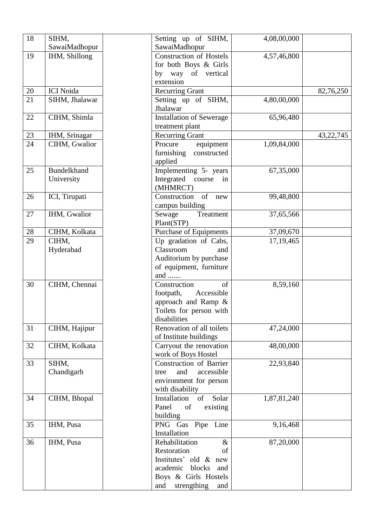| 18 | SIHM,              | Setting up of SIHM,                             | 4,08,00,000 |             |
|----|--------------------|-------------------------------------------------|-------------|-------------|
|    | SawaiMadhopur      | SawaiMadhopur<br><b>Construction of Hostels</b> |             |             |
| 19 | IHM, Shillong      |                                                 | 4,57,46,800 |             |
|    |                    | for both Boys & Girls<br>by way of vertical     |             |             |
|    |                    | extension                                       |             |             |
| 20 | <b>ICI</b> Noida   |                                                 |             |             |
| 21 | SIHM, Jhalawar     | <b>Recurring Grant</b>                          | 4,80,00,000 | 82,76,250   |
|    |                    | Setting up of SIHM,<br>Jhalawar                 |             |             |
| 22 | CIHM, Shimla       | <b>Installation of Sewerage</b>                 | 65,96,480   |             |
|    |                    | treatment plant                                 |             |             |
| 23 | IHM, Srinagar      | <b>Recurring Grant</b>                          |             | 43, 22, 745 |
| 24 | CIHM, Gwalior      | Procure<br>equipment                            | 1,09,84,000 |             |
|    |                    | furnishing constructed                          |             |             |
|    |                    | applied                                         |             |             |
| 25 | <b>Bundelkhand</b> | Implementing 5- years                           | 67,35,000   |             |
|    | University         | Integrated course in                            |             |             |
|    |                    | (MHMRCT)                                        |             |             |
| 26 | ICI, Tirupati      | Construction<br>of new                          | 99,48,800   |             |
|    |                    | campus building                                 |             |             |
| 27 | IHM, Gwalior       | Sewage<br>Treatment                             | 37,65,566   |             |
|    |                    | Plant(STP)                                      |             |             |
| 28 | CIHM, Kolkata      | Purchase of Equipments                          | 37,09,670   |             |
| 29 | CIHM,              | Up gradation of Cabs,                           | 17,19,465   |             |
|    | Hyderabad          | Classroom<br>and                                |             |             |
|    |                    | Auditorium by purchase                          |             |             |
|    |                    | of equipment, furniture                         |             |             |
|    |                    | and                                             |             |             |
| 30 | CIHM, Chennai      | Construction<br>of                              | 8,59,160    |             |
|    |                    | footpath,<br>Accessible                         |             |             |
|    |                    | approach and Ramp &                             |             |             |
|    |                    | Toilets for person with                         |             |             |
|    |                    | disabilities                                    |             |             |
| 31 | CIHM, Hajipur      | Renovation of all toilets                       | 47,24,000   |             |
|    |                    | of Institute buildings                          |             |             |
| 32 | CIHM, Kolkata      | Carryout the renovation                         | 48,00,000   |             |
|    |                    | work of Boys Hostel                             |             |             |
| 33 | SIHM,              | Construction of Barrier                         | 22,93,840   |             |
|    | Chandigarh         | and<br>accessible<br>tree                       |             |             |
|    |                    | environment for person                          |             |             |
|    |                    | with disability                                 |             |             |
| 34 | CIHM, Bhopal       | Installation<br>of<br>Solar                     | 1,87,81,240 |             |
|    |                    | Panel<br>of<br>existing                         |             |             |
|    |                    | building                                        |             |             |
| 35 | IHM, Pusa          | PNG Gas Pipe Line                               | 9,16,468    |             |
|    |                    | Installation                                    |             |             |
| 36 | IHM, Pusa          | Rehabilitation<br>$\&$                          | 87,20,000   |             |
|    |                    | Restoration<br>of                               |             |             |
|    |                    | Institutes' old & new                           |             |             |
|    |                    | academic blocks<br>and                          |             |             |
|    |                    | Boys & Girls Hostels                            |             |             |
|    |                    | strengthing<br>and<br>and                       |             |             |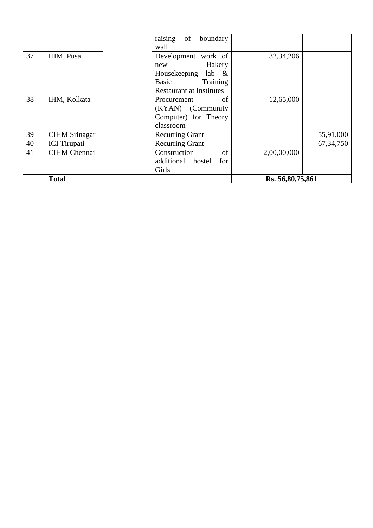|    |                      | raising of<br>boundary<br>wall                                                                                                       |             |
|----|----------------------|--------------------------------------------------------------------------------------------------------------------------------------|-------------|
| 37 | IHM, Pusa            | 32, 34, 206<br>Development work of<br>Bakery<br>new<br>Housekeeping<br>lab &<br>Basic<br>Training<br><b>Restaurant at Institutes</b> |             |
| 38 | IHM, Kolkata         | 12,65,000<br>of<br>Procurement<br>(KYAN) (Community<br>Computer) for Theory<br>classroom                                             |             |
| 39 | <b>CIHM</b> Srinagar | <b>Recurring Grant</b>                                                                                                               | 55,91,000   |
| 40 | <b>ICI</b> Tirupati  | <b>Recurring Grant</b>                                                                                                               | 67, 34, 750 |
| 41 | <b>CIHM</b> Chennai  | Construction<br>of<br>2,00,00,000<br>additional hostel<br>for<br>Girls                                                               |             |
|    | <b>Total</b>         | Rs. 56,80,75,861                                                                                                                     |             |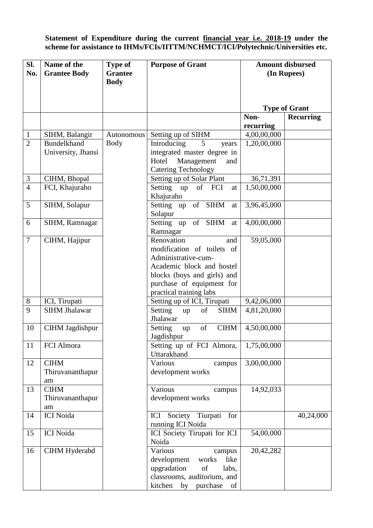## **Statement of Expenditure during the current financial year i.e. 2018-19 under the scheme for assistance to IHMs/FCIs/IITTM/NCHMCT/ICI/Polytechnic/Universities etc.**

| SI.<br>No.          | Name of the<br><b>Grantee Body</b>    | <b>Type of</b><br><b>Grantee</b><br><b>Body</b> | <b>Purpose of Grant</b>                                                                                                                                                                                                   | <b>Amount disbursed</b><br>(In Rupees) |                      |
|---------------------|---------------------------------------|-------------------------------------------------|---------------------------------------------------------------------------------------------------------------------------------------------------------------------------------------------------------------------------|----------------------------------------|----------------------|
|                     |                                       |                                                 |                                                                                                                                                                                                                           |                                        | <b>Type of Grant</b> |
|                     |                                       |                                                 |                                                                                                                                                                                                                           | Non-                                   | <b>Recurring</b>     |
|                     |                                       |                                                 |                                                                                                                                                                                                                           | recurring                              |                      |
| $\mathbf{1}$        | SIHM, Balangir                        | Autonomous                                      | Setting up of SIHM                                                                                                                                                                                                        | 4,00,00,000                            |                      |
| $\overline{2}$      | <b>Bundelkhand</b>                    | <b>Body</b>                                     | Introducing<br>$5\overline{)}$<br>years                                                                                                                                                                                   | $\overline{1,20,00,000}$               |                      |
|                     | University, Jhansi                    |                                                 | integrated master degree in                                                                                                                                                                                               |                                        |                      |
|                     |                                       |                                                 | Hotel<br>Management<br>and                                                                                                                                                                                                |                                        |                      |
|                     |                                       |                                                 | <b>Catering Technology</b>                                                                                                                                                                                                |                                        |                      |
| $\mathfrak{Z}$      | CIHM, Bhopal                          |                                                 | Setting up of Solar Plant                                                                                                                                                                                                 | 36,71,391                              |                      |
| $\overline{4}$      | FCI, Khajuraho                        |                                                 | Setting<br>of<br>FCI<br>up<br>at<br>Khajuraho                                                                                                                                                                             | 1,50,00,000                            |                      |
| 5                   | SIHM, Solapur                         |                                                 | of SIHM<br>Setting up<br>at<br>Solapur                                                                                                                                                                                    | 3,96,45,000                            |                      |
| 6                   | SIHM, Ramnagar                        |                                                 | Setting up of SIHM<br>at<br>Ramnagar                                                                                                                                                                                      | 4,00,00,000                            |                      |
| $\overline{7}$<br>8 | CIHM, Hajipur<br>ICI, Tirupati        |                                                 | Renovation<br>and<br>modification of toilets of<br>Administrative-cum-<br>Academic block and hostel<br>blocks (boys and girls) and<br>purchase of equipment for<br>practical training labs<br>Setting up of ICI, Tirupati | 59,05,000<br>9,42,06,000               |                      |
| 9                   | <b>SIHM Jhalawar</b>                  |                                                 | Setting<br><b>SIHM</b><br>of<br>up                                                                                                                                                                                        | 4,81,20,000                            |                      |
|                     |                                       |                                                 | Jhalawar                                                                                                                                                                                                                  |                                        |                      |
| 10                  | <b>CIHM Jagdishpur</b>                |                                                 | <b>CIHM</b><br>Setting<br>of<br>up<br>Jagdishpur                                                                                                                                                                          | 4,50,00,000                            |                      |
| 11                  | FCI Almora                            |                                                 | Setting up of FCI Almora,<br>Uttarakhand                                                                                                                                                                                  | 1,75,00,000                            |                      |
| 12                  | <b>CIHM</b><br>Thiruvananthapur<br>am |                                                 | Various<br>campus<br>development works                                                                                                                                                                                    | 3,00,00,000                            |                      |
| 13                  | <b>CIHM</b><br>Thiruvananthapur<br>am |                                                 | Various<br>campus<br>development works                                                                                                                                                                                    | 14,92,033                              |                      |
| 14                  | <b>ICI</b> Noida                      |                                                 | Society Tiurpati<br>for<br>ICI<br>running ICI Noida                                                                                                                                                                       |                                        | 40,24,000            |
| 15                  | <b>ICI</b> Noida                      |                                                 | ICI Society Tirupati for ICI<br>Noida                                                                                                                                                                                     | 54,00,000                              |                      |
| 16                  | CIHM Hyderabd                         |                                                 | Various<br>campus                                                                                                                                                                                                         | 20,42,282                              |                      |
|                     |                                       |                                                 | development<br>like<br>works<br>upgradation<br>of<br>labs,<br>classrooms, auditorium, and<br>kitchen<br>purchase<br>of<br>by                                                                                              |                                        |                      |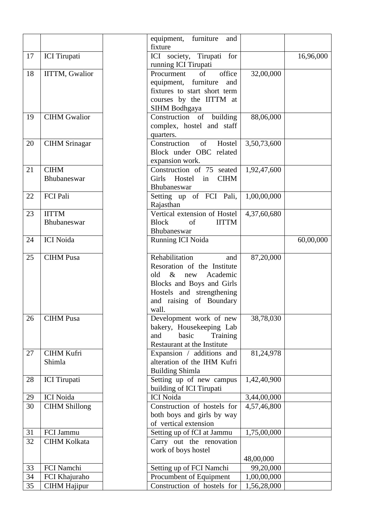|    |                       | furniture<br>equipment,<br>and     |             |           |
|----|-----------------------|------------------------------------|-------------|-----------|
|    |                       | fixture                            |             |           |
| 17 | <b>ICI</b> Tirupati   | ICI society, Tirupati for          |             | 16,96,000 |
|    |                       | running ICI Tirupati               |             |           |
| 18 | <b>IITTM, Gwalior</b> | office<br>of<br>Procurment         | 32,00,000   |           |
|    |                       | equipment, furniture<br>and        |             |           |
|    |                       | fixtures to start short term       |             |           |
|    |                       | courses by the IITTM at            |             |           |
|    |                       | <b>SIHM Bodhgaya</b>               |             |           |
| 19 | <b>CIHM Gwalior</b>   | Construction of building           | 88,06,000   |           |
|    |                       | complex, hostel and staff          |             |           |
|    |                       | quarters.                          |             |           |
| 20 | <b>CIHM</b> Srinagar  | Construction<br>Hostel<br>of       | 3,50,73,600 |           |
|    |                       | Block under OBC related            |             |           |
|    |                       | expansion work.                    |             |           |
| 21 | <b>CIHM</b>           | Construction of 75 seated          | 1,92,47,600 |           |
|    | Bhubaneswar           | Girls<br>Hostel<br><b>CIHM</b>     |             |           |
|    |                       | in                                 |             |           |
|    |                       | Bhubaneswar                        |             |           |
| 22 | FCI Pali              | Setting up of FCI Pali,            | 1,00,00,000 |           |
|    |                       | Rajasthan                          |             |           |
| 23 | <b>IITTM</b>          | Vertical extension of Hostel       | 4,37,60,680 |           |
|    | Bhubaneswar           | <b>IITTM</b><br><b>Block</b><br>of |             |           |
|    |                       | Bhubaneswar                        |             |           |
| 24 | <b>ICI</b> Noida      | <b>Running ICI Noida</b>           |             | 60,00,000 |
|    |                       |                                    |             |           |
| 25 | <b>CIHM</b> Pusa      | Rehabilitation<br>and              | 87,20,000   |           |
|    |                       | Resoration of the Institute        |             |           |
|    |                       | old<br>$\&$<br>Academic<br>new     |             |           |
|    |                       | Blocks and Boys and Girls          |             |           |
|    |                       | Hostels and strengthening          |             |           |
|    |                       | and raising of Boundary            |             |           |
|    |                       | wall.                              |             |           |
| 26 | <b>CIHM Pusa</b>      | Development work of new            | 38,78,030   |           |
|    |                       | bakery, Housekeeping Lab           |             |           |
|    |                       | basic<br>Training<br>and           |             |           |
|    |                       | Restaurant at the Institute        |             |           |
| 27 | <b>CIHM Kufri</b>     | Expansion / additions and          | 81,24,978   |           |
|    | Shimla                | alteration of the IHM Kufri        |             |           |
|    |                       | <b>Building Shimla</b>             |             |           |
| 28 | <b>ICI</b> Tirupati   | Setting up of new campus           | 1,42,40,900 |           |
|    |                       | building of ICI Tirupati           |             |           |
| 29 | <b>ICI</b> Noida      | <b>ICI</b> Noida                   | 3,44,00,000 |           |
| 30 | <b>CIHM Shillong</b>  | Construction of hostels for        | 4,57,46,800 |           |
|    |                       | both boys and girls by way         |             |           |
|    |                       | of vertical extension              |             |           |
| 31 | FCI Jammu             | Setting up of fCI at Jammu         | 1,75,00,000 |           |
| 32 | <b>CIHM Kolkata</b>   | Carry out the renovation           |             |           |
|    |                       | work of boys hostel                |             |           |
|    |                       |                                    | 48,00,000   |           |
| 33 | FCI Namchi            | Setting up of FCI Namchi           | 99,20,000   |           |
| 34 | FCI Khajuraho         | Procumbent of Equipment            | 1,00,00,000 |           |
| 35 | <b>CIHM Hajipur</b>   | Construction of hostels for        | 1,56,28,000 |           |